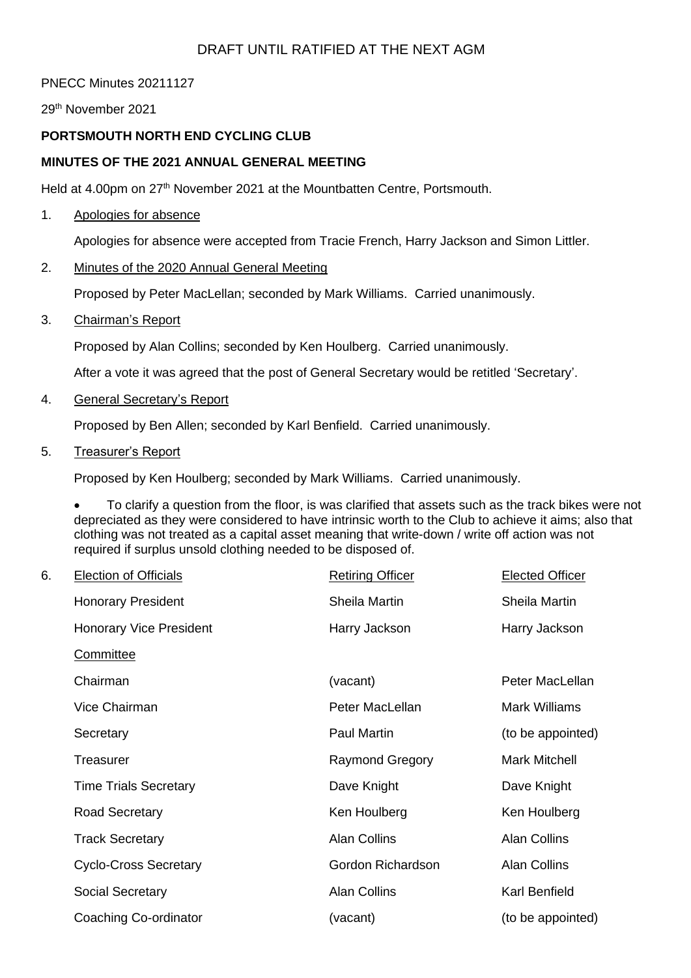# PNECC Minutes 20211127

29th November 2021

# **PORTSMOUTH NORTH END CYCLING CLUB**

## **MINUTES OF THE 2021 ANNUAL GENERAL MEETING**

Held at 4.00pm on 27<sup>th</sup> November 2021 at the Mountbatten Centre, Portsmouth.

### 1. Apologies for absence

Apologies for absence were accepted from Tracie French, Harry Jackson and Simon Littler.

### 2. Minutes of the 2020 Annual General Meeting

Proposed by Peter MacLellan; seconded by Mark Williams. Carried unanimously.

3. Chairman's Report

Proposed by Alan Collins; seconded by Ken Houlberg. Carried unanimously.

After a vote it was agreed that the post of General Secretary would be retitled 'Secretary'.

4. General Secretary's Report

Proposed by Ben Allen; seconded by Karl Benfield. Carried unanimously.

5. Treasurer's Report

Proposed by Ken Houlberg; seconded by Mark Williams. Carried unanimously.

• To clarify a question from the floor, is was clarified that assets such as the track bikes were not depreciated as they were considered to have intrinsic worth to the Club to achieve it aims; also that clothing was not treated as a capital asset meaning that write-down / write off action was not required if surplus unsold clothing needed to be disposed of.

| 6. | <b>Election of Officials</b>   | <b>Retiring Officer</b> | <b>Elected Officer</b> |
|----|--------------------------------|-------------------------|------------------------|
|    | <b>Honorary President</b>      | Sheila Martin           | Sheila Martin          |
|    | <b>Honorary Vice President</b> | Harry Jackson           | Harry Jackson          |
|    | Committee                      |                         |                        |
|    | Chairman                       | (vacant)                | Peter MacLellan        |
|    | Vice Chairman                  | Peter MacLellan         | <b>Mark Williams</b>   |
|    | Secretary                      | Paul Martin             | (to be appointed)      |
|    | Treasurer                      | <b>Raymond Gregory</b>  | <b>Mark Mitchell</b>   |
|    | <b>Time Trials Secretary</b>   | Dave Knight             | Dave Knight            |
|    | Road Secretary                 | Ken Houlberg            | Ken Houlberg           |
|    | <b>Track Secretary</b>         | <b>Alan Collins</b>     | <b>Alan Collins</b>    |
|    | <b>Cyclo-Cross Secretary</b>   | Gordon Richardson       | <b>Alan Collins</b>    |
|    | Social Secretary               | <b>Alan Collins</b>     | Karl Benfield          |
|    | Coaching Co-ordinator          | (vacant)                | (to be appointed)      |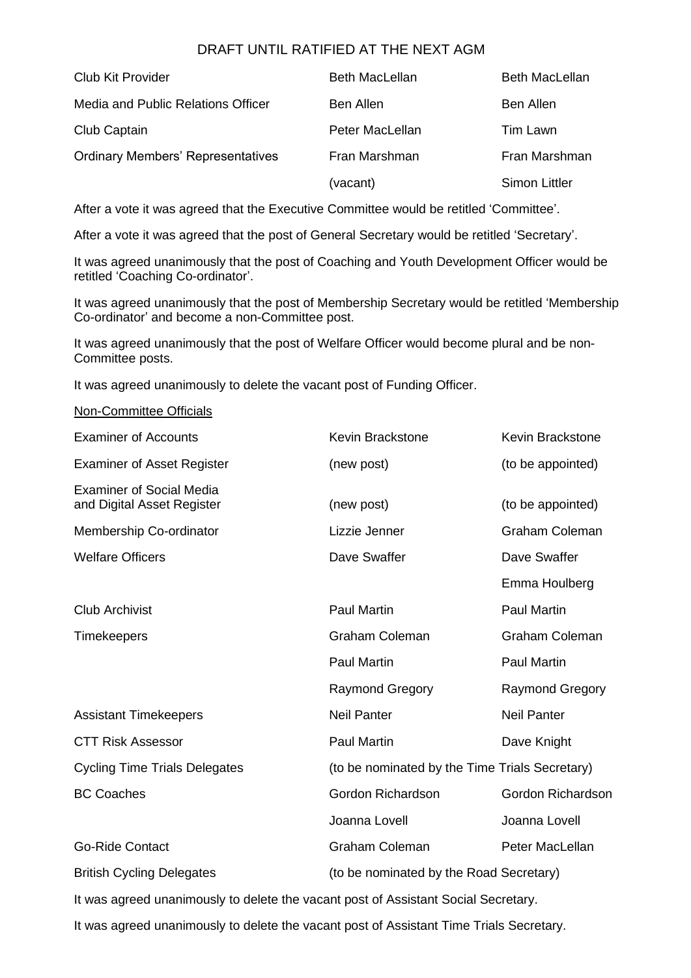| Club Kit Provider                        | <b>Beth MacLellan</b> | <b>Beth MacLellan</b> |
|------------------------------------------|-----------------------|-----------------------|
| Media and Public Relations Officer       | Ben Allen             | Ben Allen             |
| Club Captain                             | Peter MacLellan       | Tim Lawn              |
| <b>Ordinary Members' Representatives</b> | Fran Marshman         | Fran Marshman         |
|                                          | (vacant)              | <b>Simon Littler</b>  |

After a vote it was agreed that the Executive Committee would be retitled 'Committee'.

After a vote it was agreed that the post of General Secretary would be retitled 'Secretary'.

It was agreed unanimously that the post of Coaching and Youth Development Officer would be retitled 'Coaching Co-ordinator'.

It was agreed unanimously that the post of Membership Secretary would be retitled 'Membership Co-ordinator' and become a non-Committee post.

It was agreed unanimously that the post of Welfare Officer would become plural and be non-Committee posts.

It was agreed unanimously to delete the vacant post of Funding Officer.

#### Non-Committee Officials

| <b>Examiner of Accounts</b>                                                        | <b>Kevin Brackstone</b>                        | <b>Kevin Brackstone</b> |  |  |
|------------------------------------------------------------------------------------|------------------------------------------------|-------------------------|--|--|
| <b>Examiner of Asset Register</b>                                                  | (new post)                                     | (to be appointed)       |  |  |
| <b>Examiner of Social Media</b><br>and Digital Asset Register                      | (new post)                                     | (to be appointed)       |  |  |
| Membership Co-ordinator                                                            | Lizzie Jenner                                  | <b>Graham Coleman</b>   |  |  |
| <b>Welfare Officers</b>                                                            | Dave Swaffer                                   | Dave Swaffer            |  |  |
|                                                                                    |                                                | Emma Houlberg           |  |  |
| <b>Club Archivist</b>                                                              | <b>Paul Martin</b>                             | <b>Paul Martin</b>      |  |  |
| <b>Timekeepers</b>                                                                 | <b>Graham Coleman</b>                          | <b>Graham Coleman</b>   |  |  |
|                                                                                    | <b>Paul Martin</b>                             | <b>Paul Martin</b>      |  |  |
|                                                                                    | <b>Raymond Gregory</b>                         | <b>Raymond Gregory</b>  |  |  |
| <b>Assistant Timekeepers</b>                                                       | <b>Neil Panter</b>                             | <b>Neil Panter</b>      |  |  |
| <b>CTT Risk Assessor</b>                                                           | <b>Paul Martin</b>                             | Dave Knight             |  |  |
| <b>Cycling Time Trials Delegates</b>                                               | (to be nominated by the Time Trials Secretary) |                         |  |  |
| <b>BC Coaches</b>                                                                  | Gordon Richardson                              | Gordon Richardson       |  |  |
|                                                                                    | Joanna Lovell                                  | Joanna Lovell           |  |  |
| <b>Go-Ride Contact</b>                                                             | <b>Graham Coleman</b>                          | Peter MacLellan         |  |  |
| <b>British Cycling Delegates</b>                                                   | (to be nominated by the Road Secretary)        |                         |  |  |
| It was agreed unanimously to delete the vacant post of Assistant Social Secretary. |                                                |                         |  |  |

It was agreed unanimously to delete the vacant post of Assistant Time Trials Secretary.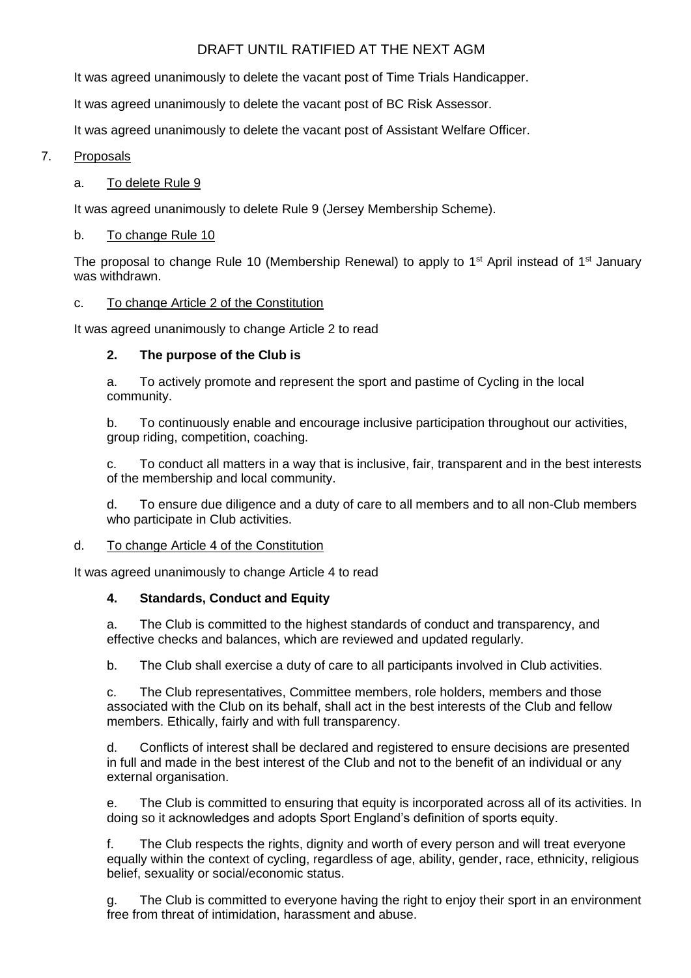It was agreed unanimously to delete the vacant post of Time Trials Handicapper.

It was agreed unanimously to delete the vacant post of BC Risk Assessor.

It was agreed unanimously to delete the vacant post of Assistant Welfare Officer.

## 7. Proposals

### a. To delete Rule 9

It was agreed unanimously to delete Rule 9 (Jersey Membership Scheme).

### b. To change Rule 10

The proposal to change Rule 10 (Membership Renewal) to apply to 1<sup>st</sup> April instead of 1<sup>st</sup> January was withdrawn.

### c. To change Article 2 of the Constitution

It was agreed unanimously to change Article 2 to read

## **2. The purpose of the Club is**

a. To actively promote and represent the sport and pastime of Cycling in the local community.

b. To continuously enable and encourage inclusive participation throughout our activities, group riding, competition, coaching.

c. To conduct all matters in a way that is inclusive, fair, transparent and in the best interests of the membership and local community.

d. To ensure due diligence and a duty of care to all members and to all non-Club members who participate in Club activities.

### d. To change Article 4 of the Constitution

It was agreed unanimously to change Article 4 to read

## **4. Standards, Conduct and Equity**

a. The Club is committed to the highest standards of conduct and transparency, and effective checks and balances, which are reviewed and updated regularly.

b. The Club shall exercise a duty of care to all participants involved in Club activities.

c. The Club representatives, Committee members, role holders, members and those associated with the Club on its behalf, shall act in the best interests of the Club and fellow members. Ethically, fairly and with full transparency.

d. Conflicts of interest shall be declared and registered to ensure decisions are presented in full and made in the best interest of the Club and not to the benefit of an individual or any external organisation.

e. The Club is committed to ensuring that equity is incorporated across all of its activities. In doing so it acknowledges and adopts Sport England's definition of sports equity.

f. The Club respects the rights, dignity and worth of every person and will treat everyone equally within the context of cycling, regardless of age, ability, gender, race, ethnicity, religious belief, sexuality or social/economic status.

g. The Club is committed to everyone having the right to enjoy their sport in an environment free from threat of intimidation, harassment and abuse.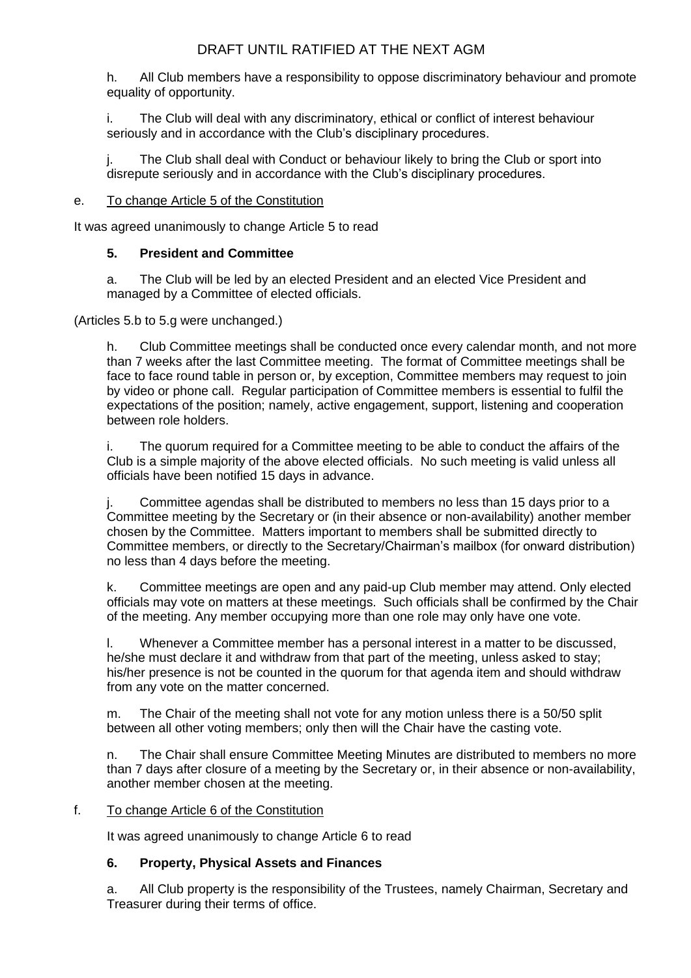h. All Club members have a responsibility to oppose discriminatory behaviour and promote equality of opportunity.

i. The Club will deal with any discriminatory, ethical or conflict of interest behaviour seriously and in accordance with the Club's disciplinary procedures.

j. The Club shall deal with Conduct or behaviour likely to bring the Club or sport into disrepute seriously and in accordance with the Club's disciplinary procedures.

## e. To change Article 5 of the Constitution

It was agreed unanimously to change Article 5 to read

## **5. President and Committee**

a. The Club will be led by an elected President and an elected Vice President and managed by a Committee of elected officials.

(Articles 5.b to 5.g were unchanged.)

h. Club Committee meetings shall be conducted once every calendar month, and not more than 7 weeks after the last Committee meeting. The format of Committee meetings shall be face to face round table in person or, by exception, Committee members may request to join by video or phone call. Regular participation of Committee members is essential to fulfil the expectations of the position; namely, active engagement, support, listening and cooperation between role holders.

i. The quorum required for a Committee meeting to be able to conduct the affairs of the Club is a simple majority of the above elected officials. No such meeting is valid unless all officials have been notified 15 days in advance.

j. Committee agendas shall be distributed to members no less than 15 days prior to a Committee meeting by the Secretary or (in their absence or non-availability) another member chosen by the Committee. Matters important to members shall be submitted directly to Committee members, or directly to the Secretary/Chairman's mailbox (for onward distribution) no less than 4 days before the meeting.

k. Committee meetings are open and any paid-up Club member may attend. Only elected officials may vote on matters at these meetings. Such officials shall be confirmed by the Chair of the meeting. Any member occupying more than one role may only have one vote.

l. Whenever a Committee member has a personal interest in a matter to be discussed, he/she must declare it and withdraw from that part of the meeting, unless asked to stay; his/her presence is not be counted in the quorum for that agenda item and should withdraw from any vote on the matter concerned.

m. The Chair of the meeting shall not vote for any motion unless there is a 50/50 split between all other voting members; only then will the Chair have the casting vote.

n. The Chair shall ensure Committee Meeting Minutes are distributed to members no more than 7 days after closure of a meeting by the Secretary or, in their absence or non-availability, another member chosen at the meeting.

### f. To change Article 6 of the Constitution

It was agreed unanimously to change Article 6 to read

# **6. Property, Physical Assets and Finances**

a. All Club property is the responsibility of the Trustees, namely Chairman, Secretary and Treasurer during their terms of office.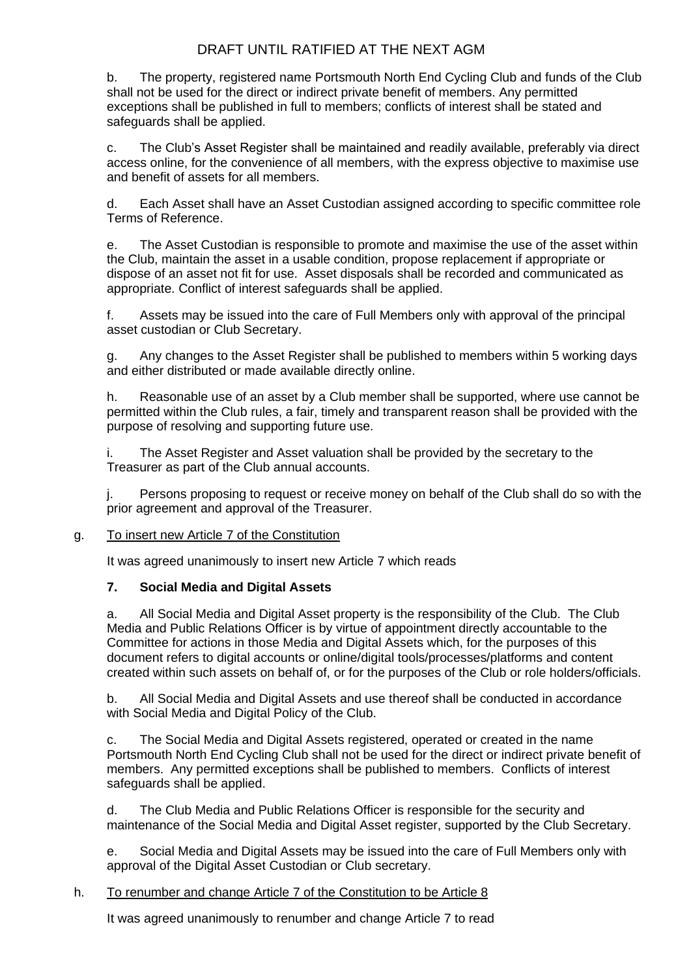b. The property, registered name Portsmouth North End Cycling Club and funds of the Club shall not be used for the direct or indirect private benefit of members. Any permitted exceptions shall be published in full to members; conflicts of interest shall be stated and safeguards shall be applied.

c. The Club's Asset Register shall be maintained and readily available, preferably via direct access online, for the convenience of all members, with the express objective to maximise use and benefit of assets for all members.

d. Each Asset shall have an Asset Custodian assigned according to specific committee role Terms of Reference.

e. The Asset Custodian is responsible to promote and maximise the use of the asset within the Club, maintain the asset in a usable condition, propose replacement if appropriate or dispose of an asset not fit for use. Asset disposals shall be recorded and communicated as appropriate. Conflict of interest safeguards shall be applied.

f. Assets may be issued into the care of Full Members only with approval of the principal asset custodian or Club Secretary.

g. Any changes to the Asset Register shall be published to members within 5 working days and either distributed or made available directly online.

h. Reasonable use of an asset by a Club member shall be supported, where use cannot be permitted within the Club rules, a fair, timely and transparent reason shall be provided with the purpose of resolving and supporting future use.

i. The Asset Register and Asset valuation shall be provided by the secretary to the Treasurer as part of the Club annual accounts.

j. Persons proposing to request or receive money on behalf of the Club shall do so with the prior agreement and approval of the Treasurer.

### g. To insert new Article 7 of the Constitution

It was agreed unanimously to insert new Article 7 which reads

### **7. Social Media and Digital Assets**

a. All Social Media and Digital Asset property is the responsibility of the Club. The Club Media and Public Relations Officer is by virtue of appointment directly accountable to the Committee for actions in those Media and Digital Assets which, for the purposes of this document refers to digital accounts or online/digital tools/processes/platforms and content created within such assets on behalf of, or for the purposes of the Club or role holders/officials.

b. All Social Media and Digital Assets and use thereof shall be conducted in accordance with Social Media and Digital Policy of the Club.

c. The Social Media and Digital Assets registered, operated or created in the name Portsmouth North End Cycling Club shall not be used for the direct or indirect private benefit of members. Any permitted exceptions shall be published to members. Conflicts of interest safeguards shall be applied.

d. The Club Media and Public Relations Officer is responsible for the security and maintenance of the Social Media and Digital Asset register, supported by the Club Secretary.

e. Social Media and Digital Assets may be issued into the care of Full Members only with approval of the Digital Asset Custodian or Club secretary.

#### h. To renumber and change Article 7 of the Constitution to be Article 8

It was agreed unanimously to renumber and change Article 7 to read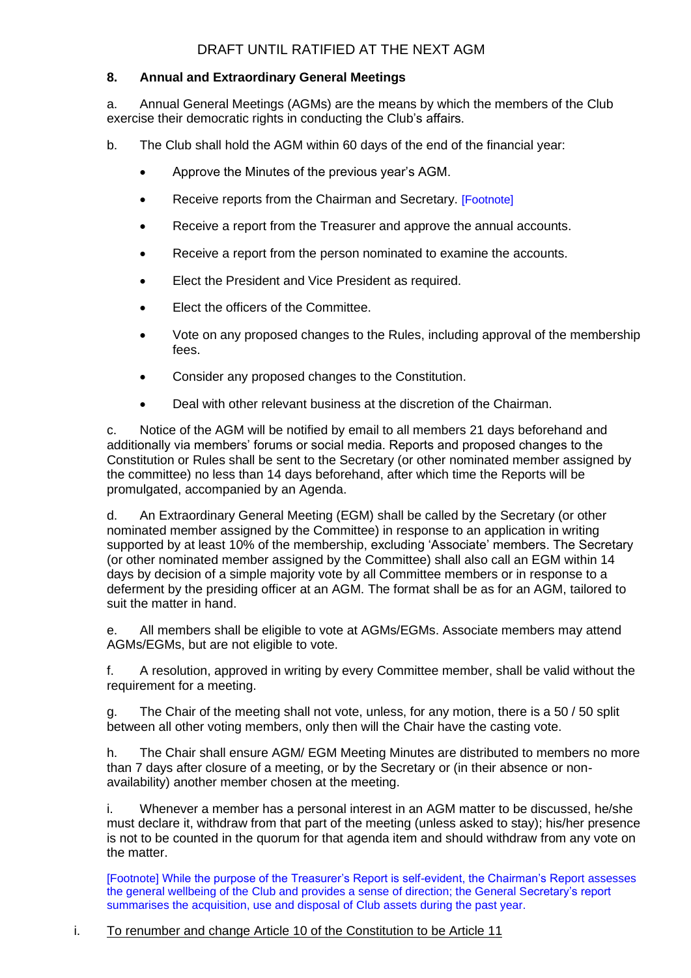## **8. Annual and Extraordinary General Meetings**

a. Annual General Meetings (AGMs) are the means by which the members of the Club exercise their democratic rights in conducting the Club's affairs.

b. The Club shall hold the AGM within 60 days of the end of the financial year:

- Approve the Minutes of the previous year's AGM.
- Receive reports from the Chairman and Secretary. [Footnote]
- Receive a report from the Treasurer and approve the annual accounts.
- Receive a report from the person nominated to examine the accounts.
- Elect the President and Vice President as required.
- Elect the officers of the Committee.
- Vote on any proposed changes to the Rules, including approval of the membership fees.
- Consider any proposed changes to the Constitution.
- Deal with other relevant business at the discretion of the Chairman.

c. Notice of the AGM will be notified by email to all members 21 days beforehand and additionally via members' forums or social media. Reports and proposed changes to the Constitution or Rules shall be sent to the Secretary (or other nominated member assigned by the committee) no less than 14 days beforehand, after which time the Reports will be promulgated, accompanied by an Agenda.

d. An Extraordinary General Meeting (EGM) shall be called by the Secretary (or other nominated member assigned by the Committee) in response to an application in writing supported by at least 10% of the membership, excluding 'Associate' members. The Secretary (or other nominated member assigned by the Committee) shall also call an EGM within 14 days by decision of a simple majority vote by all Committee members or in response to a deferment by the presiding officer at an AGM. The format shall be as for an AGM, tailored to suit the matter in hand.

e. All members shall be eligible to vote at AGMs/EGMs. Associate members may attend AGMs/EGMs, but are not eligible to vote.

f. A resolution, approved in writing by every Committee member, shall be valid without the requirement for a meeting.

g. The Chair of the meeting shall not vote, unless, for any motion, there is a 50 / 50 split between all other voting members, only then will the Chair have the casting vote.

h. The Chair shall ensure AGM/ EGM Meeting Minutes are distributed to members no more than 7 days after closure of a meeting, or by the Secretary or (in their absence or nonavailability) another member chosen at the meeting.

i. Whenever a member has a personal interest in an AGM matter to be discussed, he/she must declare it, withdraw from that part of the meeting (unless asked to stay); his/her presence is not to be counted in the quorum for that agenda item and should withdraw from any vote on the matter.

[Footnote] While the purpose of the Treasurer's Report is self-evident, the Chairman's Report assesses the general wellbeing of the Club and provides a sense of direction; the General Secretary's report summarises the acquisition, use and disposal of Club assets during the past year.

### i. To renumber and change Article 10 of the Constitution to be Article 11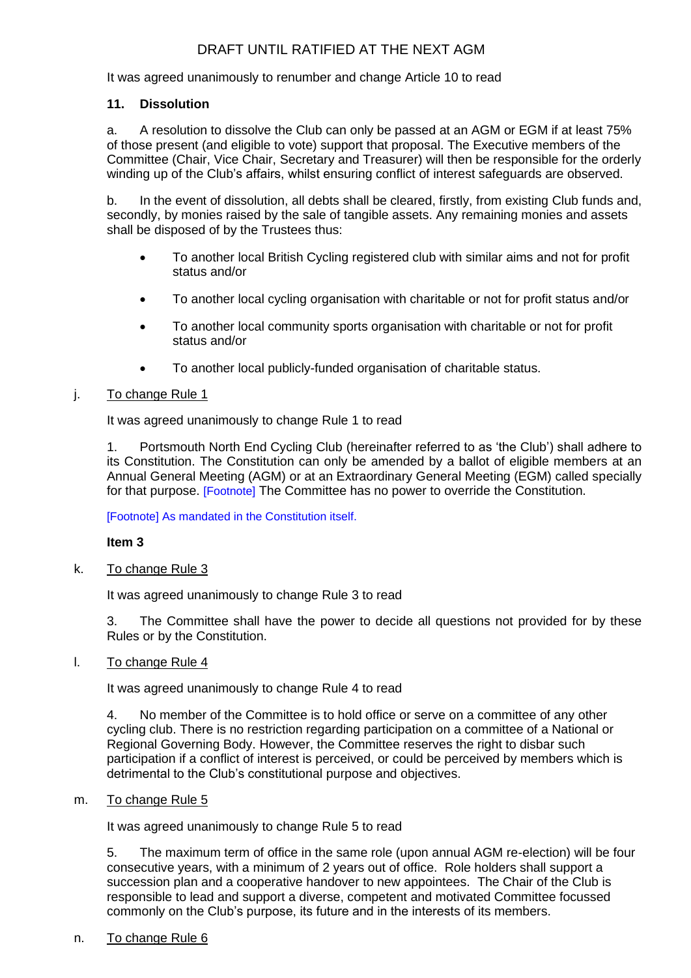It was agreed unanimously to renumber and change Article 10 to read

## **11. Dissolution**

a. A resolution to dissolve the Club can only be passed at an AGM or EGM if at least 75% of those present (and eligible to vote) support that proposal. The Executive members of the Committee (Chair, Vice Chair, Secretary and Treasurer) will then be responsible for the orderly winding up of the Club's affairs, whilst ensuring conflict of interest safeguards are observed.

b. In the event of dissolution, all debts shall be cleared, firstly, from existing Club funds and, secondly, by monies raised by the sale of tangible assets. Any remaining monies and assets shall be disposed of by the Trustees thus:

- To another local British Cycling registered club with similar aims and not for profit status and/or
- To another local cycling organisation with charitable or not for profit status and/or
- To another local community sports organisation with charitable or not for profit status and/or
- To another local publicly-funded organisation of charitable status.

## j. To change Rule 1

It was agreed unanimously to change Rule 1 to read

1. Portsmouth North End Cycling Club (hereinafter referred to as 'the Club') shall adhere to its Constitution. The Constitution can only be amended by a ballot of eligible members at an Annual General Meeting (AGM) or at an Extraordinary General Meeting (EGM) called specially for that purpose. [Footnote] The Committee has no power to override the Constitution.

[Footnote] As mandated in the Constitution itself.

### **Item 3**

k. To change Rule 3

It was agreed unanimously to change Rule 3 to read

3. The Committee shall have the power to decide all questions not provided for by these Rules or by the Constitution.

l. To change Rule 4

It was agreed unanimously to change Rule 4 to read

4. No member of the Committee is to hold office or serve on a committee of any other cycling club. There is no restriction regarding participation on a committee of a National or Regional Governing Body. However, the Committee reserves the right to disbar such participation if a conflict of interest is perceived, or could be perceived by members which is detrimental to the Club's constitutional purpose and objectives.

m. To change Rule 5

It was agreed unanimously to change Rule 5 to read

5. The maximum term of office in the same role (upon annual AGM re-election) will be four consecutive years, with a minimum of 2 years out of office. Role holders shall support a succession plan and a cooperative handover to new appointees. The Chair of the Club is responsible to lead and support a diverse, competent and motivated Committee focussed commonly on the Club's purpose, its future and in the interests of its members.

n. To change Rule 6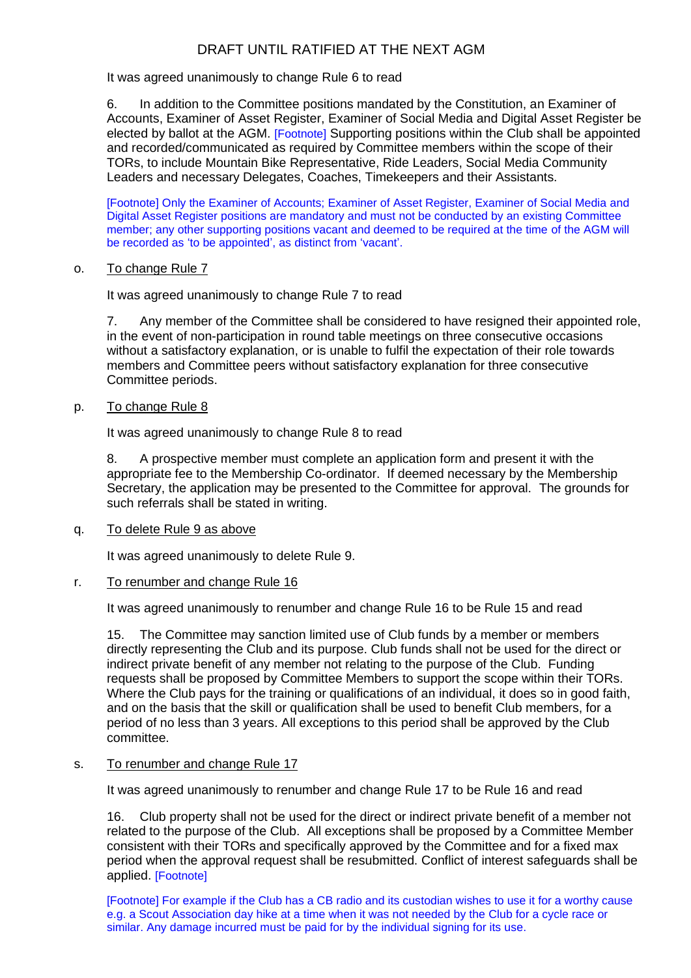It was agreed unanimously to change Rule 6 to read

6. In addition to the Committee positions mandated by the Constitution, an Examiner of Accounts, Examiner of Asset Register, Examiner of Social Media and Digital Asset Register be elected by ballot at the AGM. [Footnote] Supporting positions within the Club shall be appointed and recorded/communicated as required by Committee members within the scope of their TORs, to include Mountain Bike Representative, Ride Leaders, Social Media Community Leaders and necessary Delegates, Coaches, Timekeepers and their Assistants.

[Footnote] Only the Examiner of Accounts; Examiner of Asset Register, Examiner of Social Media and Digital Asset Register positions are mandatory and must not be conducted by an existing Committee member; any other supporting positions vacant and deemed to be required at the time of the AGM will be recorded as 'to be appointed', as distinct from 'vacant'.

### o. To change Rule 7

It was agreed unanimously to change Rule 7 to read

7. Any member of the Committee shall be considered to have resigned their appointed role, in the event of non-participation in round table meetings on three consecutive occasions without a satisfactory explanation, or is unable to fulfil the expectation of their role towards members and Committee peers without satisfactory explanation for three consecutive Committee periods.

p. To change Rule 8

It was agreed unanimously to change Rule 8 to read

8. A prospective member must complete an application form and present it with the appropriate fee to the Membership Co-ordinator. If deemed necessary by the Membership Secretary, the application may be presented to the Committee for approval. The grounds for such referrals shall be stated in writing.

#### q. To delete Rule 9 as above

It was agreed unanimously to delete Rule 9.

#### r. To renumber and change Rule 16

It was agreed unanimously to renumber and change Rule 16 to be Rule 15 and read

15. The Committee may sanction limited use of Club funds by a member or members directly representing the Club and its purpose. Club funds shall not be used for the direct or indirect private benefit of any member not relating to the purpose of the Club. Funding requests shall be proposed by Committee Members to support the scope within their TORs. Where the Club pays for the training or qualifications of an individual, it does so in good faith, and on the basis that the skill or qualification shall be used to benefit Club members, for a period of no less than 3 years. All exceptions to this period shall be approved by the Club committee.

#### s. To renumber and change Rule 17

It was agreed unanimously to renumber and change Rule 17 to be Rule 16 and read

16. Club property shall not be used for the direct or indirect private benefit of a member not related to the purpose of the Club. All exceptions shall be proposed by a Committee Member consistent with their TORs and specifically approved by the Committee and for a fixed max period when the approval request shall be resubmitted. Conflict of interest safeguards shall be applied. [Footnote]

[Footnote] For example if the Club has a CB radio and its custodian wishes to use it for a worthy cause e.g. a Scout Association day hike at a time when it was not needed by the Club for a cycle race or similar. Any damage incurred must be paid for by the individual signing for its use.